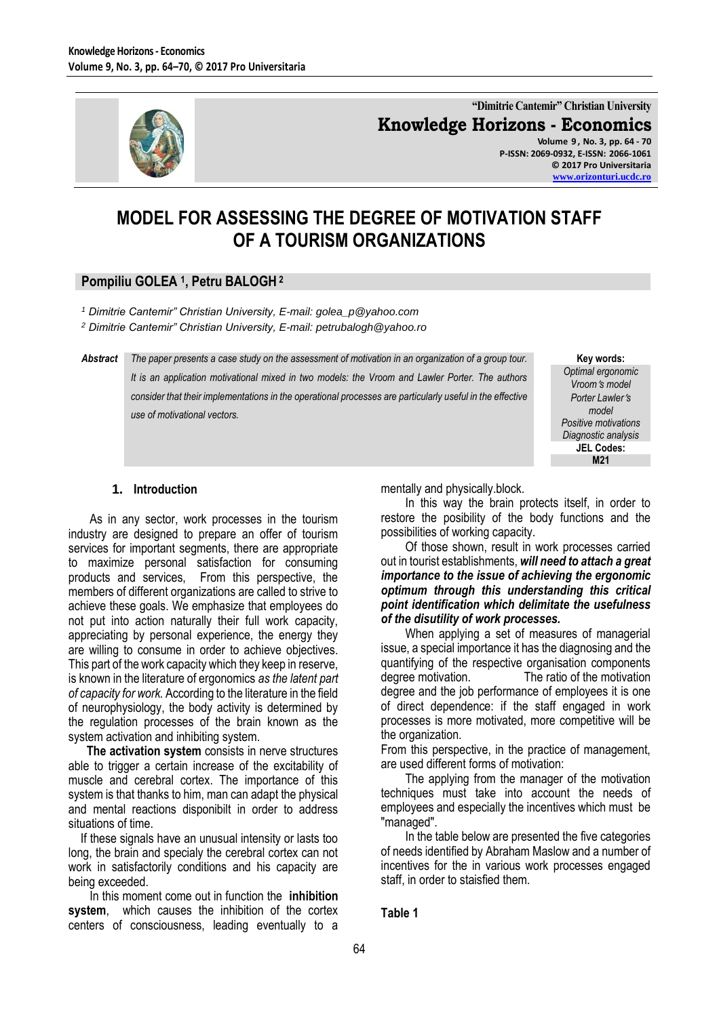

**"Dimitrie Cantemir" Christian University Knowledge Horizons - Economics Volume 9 , No. 3, pp. 64 - 70**

**P-ISSN: 2069-0932, E-ISSN: 2066-1061 © 2017 Pro Universitaria [www.orizonturi.ucdc.ro](http://www.orizonturi.ucdc.ro/)**

# **MODEL FOR ASSESSING THE DEGREE OF MOTIVATION STAFF OF A TOURISM ORGANIZATIONS**

## **Pompiliu GOLEA <sup>1</sup> , Petru BALOGH <sup>2</sup>**

*<sup>1</sup> Dimitrie Cantemir" Christian University, E-mail: golea\_p@yahoo.com* 

*<sup>2</sup> Dimitrie Cantemir" Christian University, E-mail: petrubalogh@yahoo.ro*

*Abstract The paper presents a case study on the assessment of motivation in an organization of a group tour. It is an application motivational mixed in two models: the Vroom and Lawler Porter. The authors consider that their implementations in the operational processes are particularly useful in the effective use of motivational vectors.*

**Key words:** *Optimal ergonomic Vrooms model Porter Lawlers model Positive motivations Diagnostic analysis* **JEL Codes: M21**

#### **1. Introduction**

 As in any sector, work processes in the tourism industry are designed to prepare an offer of tourism services for important segments, there are appropriate to maximize personal satisfaction for consuming products and services, From this perspective, the members of different organizations are called to strive to achieve these goals. We emphasize that employees do not put into action naturally their full work capacity, appreciating by personal experience, the energy they are willing to consume in order to achieve objectives. This part of the work capacity which they keep in reserve, is known in the literature of ergonomics *as the latent part of capacity for work.* According to the literature in the field of neurophysiology, the body activity is determined by the regulation processes of the brain known as the system activation and inhibiting system.

 **The activation system** consists in nerve structures able to trigger a certain increase of the excitability of muscle and cerebral cortex. The importance of this system is that thanks to him, man can adapt the physical and mental reactions disponibilt in order to address situations of time.

 If these signals have an unusual intensity or lasts too long, the brain and specialy the cerebral cortex can not work in satisfactorily conditions and his capacity are being exceeded.

 In this moment come out in function the **inhibition system**, which causes the inhibition of the cortex centers of consciousness, leading eventually to a mentally and physically.block.

 In this way the brain protects itself, in order to restore the posibility of the body functions and the possibilities of working capacity.

 Of those shown, result in work processes carried out in tourist establishments, *will need to attach a great importance to the issue of achieving the ergonomic optimum through this understanding this critical point identification which delimitate the usefulness of the disutility of work processes.*

 When applying a set of measures of managerial issue, a special importance it has the diagnosing and the quantifying of the respective organisation components degree motivation. The ratio of the motivation degree and the job performance of employees it is one of direct dependence: if the staff engaged in work processes is more motivated, more competitive will be the organization.

From this perspective, in the practice of management, are used different forms of motivation:

 The applying from the manager of the motivation techniques must take into account the needs of employees and especially the incentives which must be "managed".

 In the table below are presented the five categories of needs identified by Abraham Maslow and a number of incentives for the in various work processes engaged staff, in order to staisfied them.

**Table 1**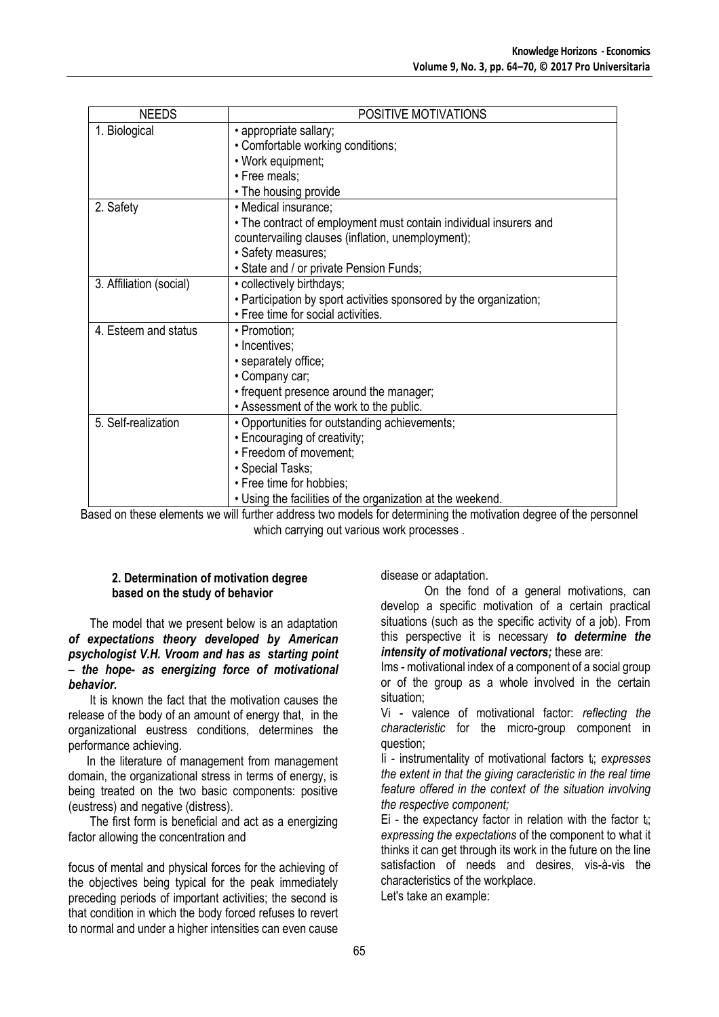| <b>NEEDS</b>            | POSITIVE MOTIVATIONS                                                                                                   |  |  |  |  |
|-------------------------|------------------------------------------------------------------------------------------------------------------------|--|--|--|--|
| 1. Biological           | • appropriate sallary;                                                                                                 |  |  |  |  |
|                         | • Comfortable working conditions;                                                                                      |  |  |  |  |
|                         | • Work equipment;                                                                                                      |  |  |  |  |
|                         | • Free meals;                                                                                                          |  |  |  |  |
|                         | • The housing provide                                                                                                  |  |  |  |  |
| 2. Safety               | • Medical insurance;                                                                                                   |  |  |  |  |
|                         | • The contract of employment must contain individual insurers and<br>countervailing clauses (inflation, unemployment); |  |  |  |  |
|                         | · Safety measures;                                                                                                     |  |  |  |  |
|                         | · State and / or private Pension Funds;                                                                                |  |  |  |  |
| 3. Affiliation (social) | • collectively birthdays;                                                                                              |  |  |  |  |
|                         | . Participation by sport activities sponsored by the organization;                                                     |  |  |  |  |
|                         | · Free time for social activities.                                                                                     |  |  |  |  |
| 4. Esteem and status    | • Promotion;                                                                                                           |  |  |  |  |
|                         | • Incentives;                                                                                                          |  |  |  |  |
|                         | · separately office;                                                                                                   |  |  |  |  |
|                         | • Company car;                                                                                                         |  |  |  |  |
|                         | • frequent presence around the manager;                                                                                |  |  |  |  |
|                         | • Assessment of the work to the public.                                                                                |  |  |  |  |
| 5. Self-realization     | • Opportunities for outstanding achievements;                                                                          |  |  |  |  |
|                         | • Encouraging of creativity;                                                                                           |  |  |  |  |
|                         | • Freedom of movement;                                                                                                 |  |  |  |  |
|                         | • Special Tasks;                                                                                                       |  |  |  |  |
|                         | • Free time for hobbies;                                                                                               |  |  |  |  |
|                         | . Using the facilities of the organization at the weekend.                                                             |  |  |  |  |

Based on these elements we will further address two models for determining the motivation degree of the personnel which carrying out various work processes .

## **2. Determination of motivation degree based on the study of behavior**

 The model that we present below is an adaptation *of expectations theory developed by American psychologist V.H. Vroom and has as starting point – the hope- as energizing force of motivational behavior.*

 It is known the fact that the motivation causes the release of the body of an amount of energy that, in the organizational eustress conditions, determines the performance achieving.

 In the literature of management from management domain, the organizational stress in terms of energy, is being treated on the two basic components: positive (eustress) and negative (distress).

 The first form is beneficial and act as a energizing factor allowing the concentration and

focus of mental and physical forces for the achieving of the objectives being typical for the peak immediately preceding periods of important activities; the second is that condition in which the body forced refuses to revert to normal and under a higher intensities can even cause disease or adaptation.

On the fond of a general motivations, can develop a specific motivation of a certain practical situations (such as the specific activity of a job). From this perspective it is necessary *to determine the intensity of motivational vectors;* these are:

Ims - motivational index of a component of a social group or of the group as a whole involved in the certain situation;

Vi - valence of motivational factor: *reflecting the characteristic* for the micro-group component in question;

Ii - instrumentality of motivational factors ti; *expresses the extent in that the giving caracteristic in the real time feature offered in the context of the situation involving the respective component;*

Ei - the expectancy factor in relation with the factor  $t_i$ ; *expressing the expectations* of the component to what it thinks it can get through its work in the future on the line satisfaction of needs and desires, vis-à-vis the characteristics of the workplace.

Let's take an example: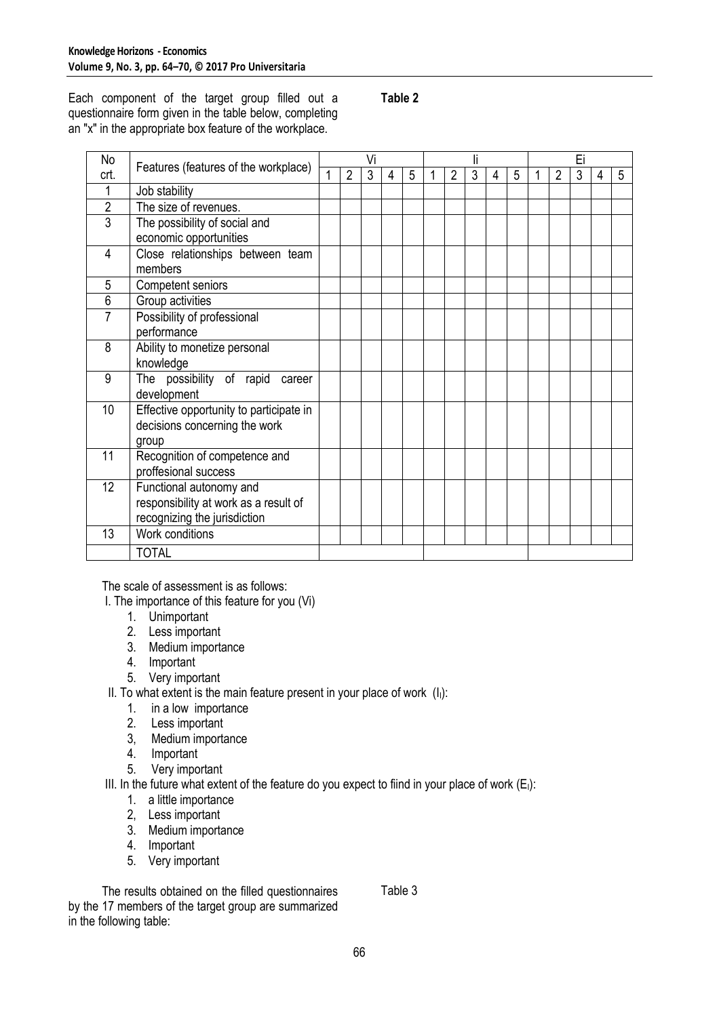Each component of the target group filled out a questionnaire form given in the table below, completing an "x" in the appropriate box feature of the workplace.

## **Table 2**

| No              | Features (features of the workplace)    |  | Vi             |   |   |   |  |   |   |   | Ei |  |   |   |   |   |
|-----------------|-----------------------------------------|--|----------------|---|---|---|--|---|---|---|----|--|---|---|---|---|
| crt.            |                                         |  | $\overline{2}$ | 3 | 4 | 5 |  | 2 | 3 | 4 | 5  |  | 2 | 3 | 4 | 5 |
| 1               | Job stability                           |  |                |   |   |   |  |   |   |   |    |  |   |   |   |   |
| $\overline{2}$  | The size of revenues.                   |  |                |   |   |   |  |   |   |   |    |  |   |   |   |   |
| 3               | The possibility of social and           |  |                |   |   |   |  |   |   |   |    |  |   |   |   |   |
|                 | economic opportunities                  |  |                |   |   |   |  |   |   |   |    |  |   |   |   |   |
| 4               | Close relationships between team        |  |                |   |   |   |  |   |   |   |    |  |   |   |   |   |
|                 | members                                 |  |                |   |   |   |  |   |   |   |    |  |   |   |   |   |
| 5               | Competent seniors                       |  |                |   |   |   |  |   |   |   |    |  |   |   |   |   |
| 6               | Group activities                        |  |                |   |   |   |  |   |   |   |    |  |   |   |   |   |
| 7               | Possibility of professional             |  |                |   |   |   |  |   |   |   |    |  |   |   |   |   |
|                 | performance                             |  |                |   |   |   |  |   |   |   |    |  |   |   |   |   |
| 8               | Ability to monetize personal            |  |                |   |   |   |  |   |   |   |    |  |   |   |   |   |
|                 | knowledge                               |  |                |   |   |   |  |   |   |   |    |  |   |   |   |   |
| 9               | The possibility of rapid<br>career      |  |                |   |   |   |  |   |   |   |    |  |   |   |   |   |
|                 | development                             |  |                |   |   |   |  |   |   |   |    |  |   |   |   |   |
| 10              | Effective opportunity to participate in |  |                |   |   |   |  |   |   |   |    |  |   |   |   |   |
|                 | decisions concerning the work           |  |                |   |   |   |  |   |   |   |    |  |   |   |   |   |
|                 | group                                   |  |                |   |   |   |  |   |   |   |    |  |   |   |   |   |
| 11              | Recognition of competence and           |  |                |   |   |   |  |   |   |   |    |  |   |   |   |   |
|                 | proffesional success                    |  |                |   |   |   |  |   |   |   |    |  |   |   |   |   |
| 12 <sup>2</sup> | Functional autonomy and                 |  |                |   |   |   |  |   |   |   |    |  |   |   |   |   |
|                 | responsibility at work as a result of   |  |                |   |   |   |  |   |   |   |    |  |   |   |   |   |
|                 | recognizing the jurisdiction            |  |                |   |   |   |  |   |   |   |    |  |   |   |   |   |
| 13              | Work conditions                         |  |                |   |   |   |  |   |   |   |    |  |   |   |   |   |
|                 | <b>TOTAL</b>                            |  |                |   |   |   |  |   |   |   |    |  |   |   |   |   |

The scale of assessment is as follows:

- I. The importance of this feature for you (Vi)
	- 1. Unimportant
	- 2. Less important
	- 3. Medium importance
	- 4. Important
	- 5. Very important

II. To what extent is the main feature present in your place of work  $(l<sub>1</sub>)$ :

- 1. in a low importance
- 2. Less important
- 3, Medium importance
- 4. Important
- 5. Very important

III. In the future what extent of the feature do you expect to fiind in your place of work  $(E<sub>1</sub>)$ :

- 1. a little importance
- 2, Less important
- 3. Medium importance
- 4. Important
- 5. Very important

 The results obtained on the filled questionnaires by the 17 members of the target group are summarized in the following table:

Table 3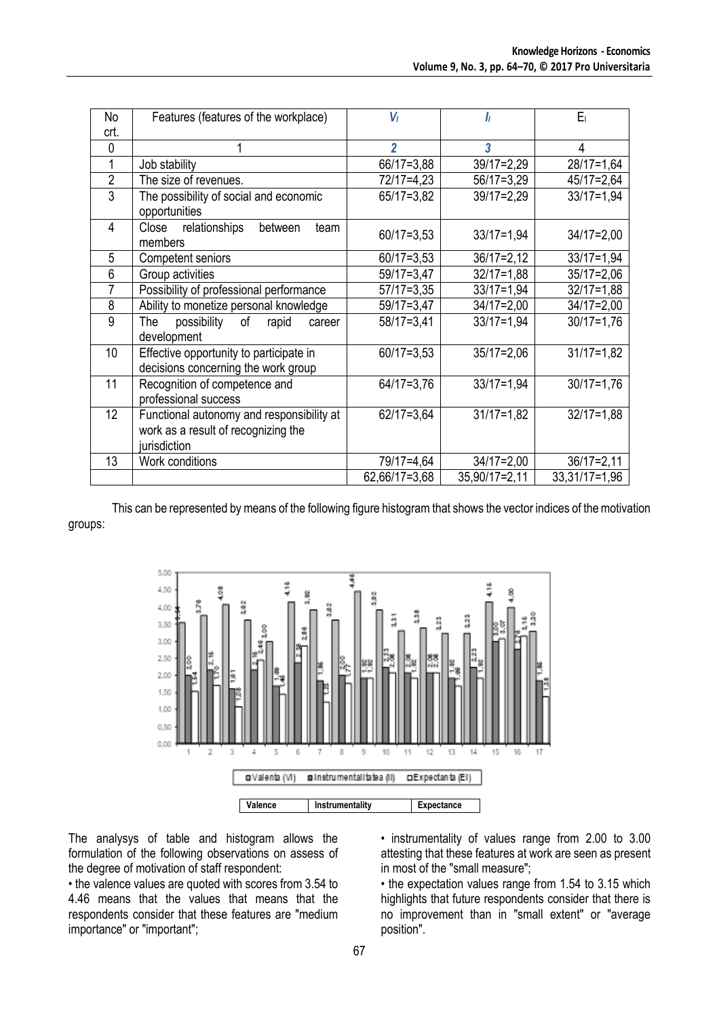| No             | Features (features of the workplace)        | $V_I$          | h               | $E_1$           |  |  |  |
|----------------|---------------------------------------------|----------------|-----------------|-----------------|--|--|--|
| crt.           |                                             |                |                 |                 |  |  |  |
| $\mathbf{0}$   |                                             | $\overline{c}$ | 3               | 4               |  |  |  |
| 1              | Job stability                               | 66/17=3,88     | $39/17=2,29$    | $28/17=1,64$    |  |  |  |
| $\overline{2}$ | The size of revenues.                       | 72/17=4,23     | $56/17=3,29$    | 45/17=2,64      |  |  |  |
| 3              | The possibility of social and economic      | 65/17=3,82     | $39/17=2,29$    | $33/17 = 1.94$  |  |  |  |
|                | opportunities                               |                |                 |                 |  |  |  |
| 4              | relationships<br>Close<br>between<br>team   | $60/17 = 3,53$ | $33/17=1,94$    | $34/17=2,00$    |  |  |  |
|                | members                                     |                |                 |                 |  |  |  |
| 5              | <b>Competent seniors</b>                    | $60/17 = 3,53$ | $36/17=2,12$    | $33/17=1,94$    |  |  |  |
| 6              | Group activities                            | $59/17=3,47$   | $32/17=1,88$    | $35/17=2,06$    |  |  |  |
| $\overline{7}$ | Possibility of professional performance     | $57/17=3,35$   | $33/17 = 1,94$  | $32/17=1,88$    |  |  |  |
| 8              | Ability to monetize personal knowledge      | 59/17=3,47     | $34/17=2,00$    | $34/17=2,00$    |  |  |  |
| $\overline{9}$ | The<br>possibility<br>of<br>rapid<br>career | $58/17=3,41$   | $33/17 = 1,94$  | $30/17 = 1,76$  |  |  |  |
|                | development                                 |                |                 |                 |  |  |  |
| 10             | Effective opportunity to participate in     | $60/17 = 3.53$ | $35/17=2,06$    | $31/17=1,82$    |  |  |  |
|                | decisions concerning the work group         |                |                 |                 |  |  |  |
| 11             | Recognition of competence and               | 64/17=3,76     | $33/17 = 1,94$  | $30/17 = 1,76$  |  |  |  |
|                | professional success                        |                |                 |                 |  |  |  |
| 12             | Functional autonomy and responsibility at   | $62/17=3.64$   | $31/17=1,82$    | $32/17=1,88$    |  |  |  |
|                | work as a result of recognizing the         |                |                 |                 |  |  |  |
|                | jurisdiction                                |                |                 |                 |  |  |  |
| 13             | Work conditions                             | 79/17=4,64     | $34/17=2,00$    | $36/17=2,11$    |  |  |  |
|                |                                             | 62,66/17=3,68  | $35,90/17=2,11$ | $33,31/17=1,96$ |  |  |  |

This can be represented by means of the following figure histogram that shows the vector indices of the motivation groups:



The analysys of table and histogram allows the formulation of the following observations on assess of the degree of motivation of staff respondent:

• the valence values are quoted with scores from 3.54 to 4.46 means that the values that means that the respondents consider that these features are "medium importance" or "important";

• instrumentality of values range from 2.00 to 3.00 attesting that these features at work are seen as present in most of the "small measure";

• the expectation values range from 1.54 to 3.15 which highlights that future respondents consider that there is no improvement than in "small extent" or "average position".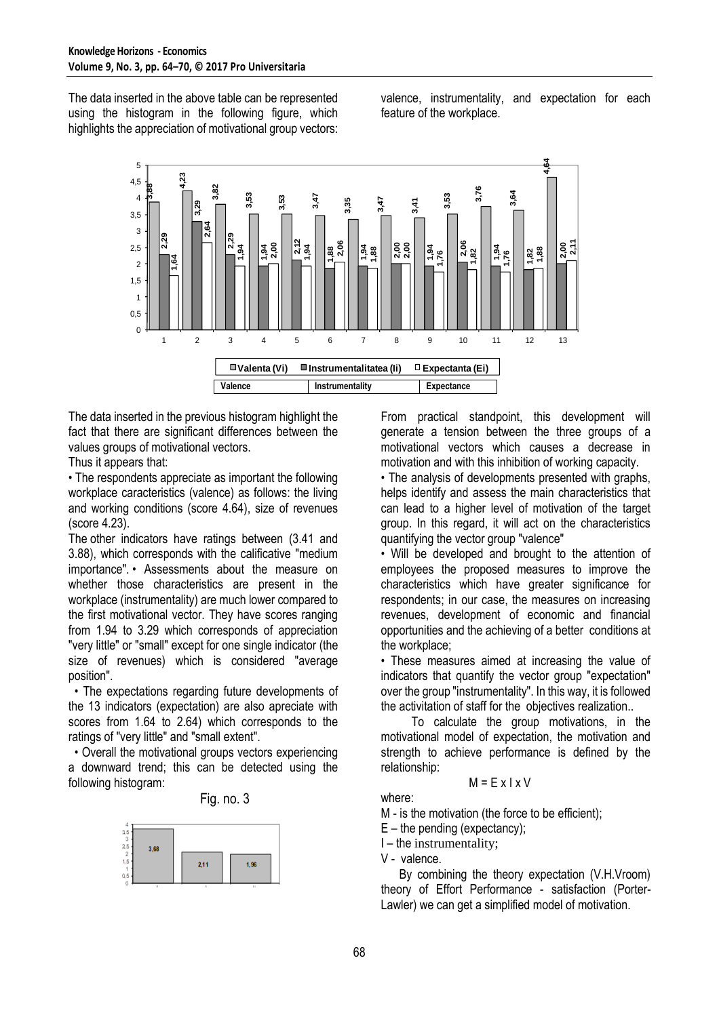The data inserted in the above table can be represented using the histogram in the following figure, which highlights the appreciation of motivational group vectors:

valence, instrumentality, and expectation for each feature of the workplace.



The data inserted in the previous histogram highlight the fact that there are significant differences between the values groups of motivational vectors.

Thus it appears that:

• The respondents appreciate as important the following workplace caracteristics (valence) as follows: the living and working conditions (score 4.64), size of revenues (score 4.23).

The other indicators have ratings between (3.41 and 3.88), which corresponds with the calificative "medium importance". • Assessments about the measure on whether those characteristics are present in the workplace (instrumentality) are much lower compared to the first motivational vector. They have scores ranging from 1.94 to 3.29 which corresponds of appreciation "very little" or "small" except for one single indicator (the size of revenues) which is considered "average position".

 • The expectations regarding future developments of the 13 indicators (expectation) are also apreciate with scores from 1.64 to 2.64) which corresponds to the ratings of "very little" and "small extent".

 • Overall the motivational groups vectors experiencing a downward trend; this can be detected using the following histogram:

Fig. no. 3



From practical standpoint, this development will generate a tension between the three groups of a motivational vectors which causes a decrease in motivation and with this inhibition of working capacity.

• The analysis of developments presented with graphs, helps identify and assess the main characteristics that can lead to a higher level of motivation of the target group. In this regard, it will act on the characteristics quantifying the vector group "valence"

• Will be developed and brought to the attention of employees the proposed measures to improve the characteristics which have greater significance for respondents; in our case, the measures on increasing revenues, development of economic and financial opportunities and the achieving of a better conditions at the workplace;

• These measures aimed at increasing the value of indicators that quantify the vector group "expectation" over the group "instrumentality". In this way, it is followed the activitation of staff for the objectives realization..

 To calculate the group motivations, in the motivational model of expectation, the motivation and strength to achieve performance is defined by the relationship:

## $M = E \times I \times V$

where:

M - is the motivation (the force to be efficient);

 $E$  – the pending (expectancy);

I – the instrumentality;

V - valence.

 By combining the theory expectation (V.H.Vroom) theory of Effort Performance - satisfaction (Porter-Lawler) we can get a simplified model of motivation.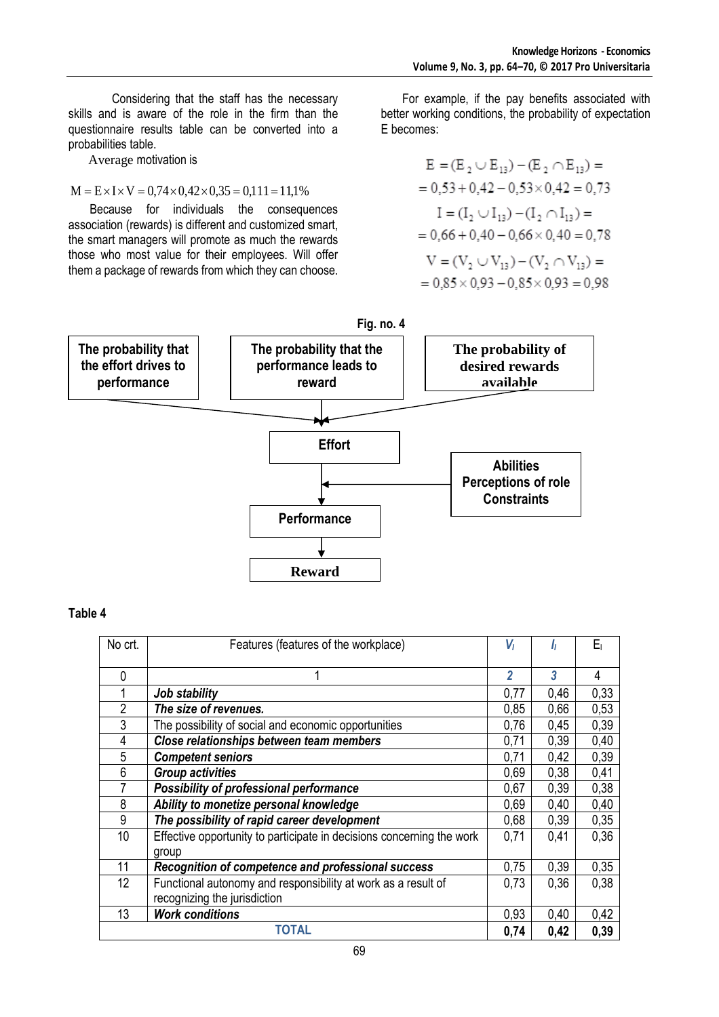Considering that the staff has the necessary skills and is aware of the role in the firm than the questionnaire results table can be converted into a probabilities table.

Average motivation is

$$
M = E \times I \times V = 0,74 \times 0,42 \times 0,35 = 0,111 = 11,1\%
$$

 Because for individuals the consequences association (rewards) is different and customized smart, the smart managers will promote as much the rewards those who most value for their employees. Will offer them a package of rewards from which they can choose.

 For example, if the pay benefits associated with better working conditions, the probability of expectation E becomes:

$$
E = (E_2 \cup E_{13}) - (E_2 \cap E_{13}) =
$$
  
= 0.53 + 0.42 - 0.53 × 0.42 = 0.73  

$$
I = (I_2 \cup I_{13}) - (I_2 \cap I_{13}) =
$$
  
= 0.66 + 0.40 - 0.66 × 0.40 = 0.78  

$$
V = (V_2 \cup V_{13}) - (V_2 \cap V_{13}) =
$$
  
= 0.85 × 0.93 - 0.85 × 0.93 = 0.98



## **Table 4**

| No crt.      | Features (features of the workplace)                                  | V              | Iı   | Eı   |
|--------------|-----------------------------------------------------------------------|----------------|------|------|
| 0            |                                                                       | $\overline{2}$ | 3    | 4    |
|              | Job stability                                                         | 0,77           | 0,46 | 0,33 |
| 2            | The size of revenues.                                                 | 0,85           | 0,66 | 0,53 |
| 3            | The possibility of social and economic opportunities                  | 0,76           | 0,45 | 0,39 |
| 4            | Close relationships between team members                              | 0,71           | 0,39 | 0,40 |
| 5            | <b>Competent seniors</b>                                              | 0,71           | 0,42 | 0,39 |
| 6            | <b>Group activities</b>                                               | 0,69           | 0,38 | 0,41 |
|              | Possibility of professional performance                               | 0,67           | 0,39 | 0,38 |
| 8            | Ability to monetize personal knowledge                                | 0,69           | 0,40 | 0,40 |
| 9            | The possibility of rapid career development                           | 0,68           | 0,39 | 0,35 |
| 10           | Effective opportunity to participate in decisions concerning the work | 0,71           | 0,41 | 0,36 |
|              | group                                                                 |                |      |      |
| 11           | Recognition of competence and professional success                    | 0,75           | 0,39 | 0,35 |
| 12           | Functional autonomy and responsibility at work as a result of         | 0.73           | 0.36 | 0.38 |
|              | recognizing the jurisdiction                                          |                |      |      |
| 13           | <b>Work conditions</b>                                                | 0,93           | 0,40 | 0,42 |
| <b>TOTAL</b> |                                                                       | 0,74           | 0,42 | 0,39 |